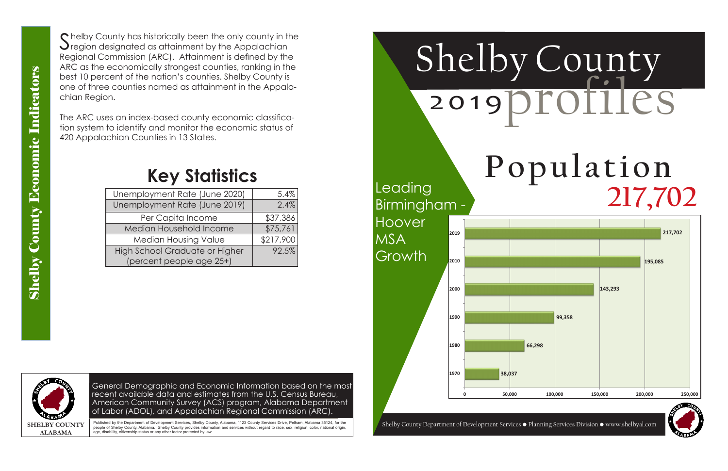## Population **217,702**

General Demographic and Economic Information based on the most recent available data and estimates from the U.S. Census Bureau, American Community Survey (ACS) program, Alabama Department of Labor (ADOL), and Appalachian Regional Commission (ARC).

# Shelby County 20 19profiles

Published by the Department of Development Services, Shelby County, Alabama, 1123 County Services Drive, Pelham, Alabama 35124, for the people of Shelby County, Alabama. Shelby County provides information and services without regard to race, sex, religion, color, national origin age, disability, citizenship status or any other factor protected by law.

Shelby County has historically been the only county in the<br>Sregion designated as attainment by the Appalachian Regional Commission (ARC). Attainment is defined by the ARC as the economically strongest counties, ranking in the best 10 percent of the nation's counties. Shelby County is one of three counties named as attainment in the Appalachian Region.



**38,037 66,298 1970 1980 1990 2000 2010 2019** Leading Birmingham - Hoover MSA **Growth** 

The ARC uses an index-based county economic classification system to identify and monitor the economic status of 420 Appalachian Counties in 13 States.

| Unemployment Rate (June 2020)         | 5.4%      |
|---------------------------------------|-----------|
| Unemployment Rate (June 2019)         | 2.4%      |
| Per Capita Income                     | \$37,386  |
| Median Household Income               | \$75,761  |
| <b>Median Housing Value</b>           | \$217,900 |
| <b>High School Graduate or Higher</b> | 92.5%     |
| (percent people age 25+)              |           |

### **Key Statistics**

|   |        |        |         |         | 217,702            |
|---|--------|--------|---------|---------|--------------------|
|   |        |        |         |         |                    |
|   |        |        |         |         | 195,085            |
|   |        |        |         |         |                    |
|   |        |        |         | 143,293 |                    |
|   |        |        |         |         |                    |
|   |        |        | 99,358  |         |                    |
|   |        | 66,298 |         |         |                    |
|   |        |        |         |         |                    |
|   | 38,037 |        |         |         |                    |
| 0 | 50,000 |        | 100,000 | 150,000 | 200,000<br>250,000 |